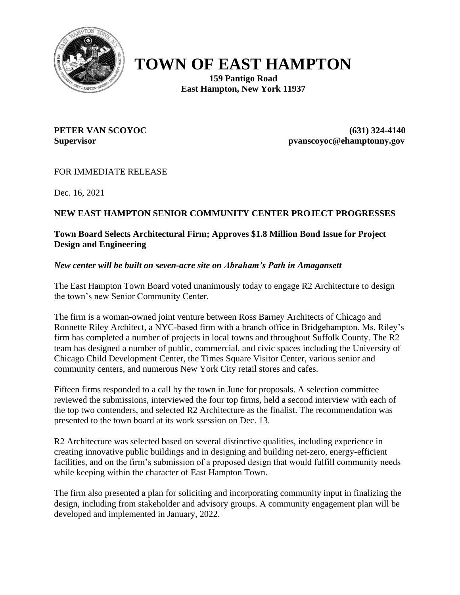

# **TOWN OF EAST HAMPTON**

**159 Pantigo Road East Hampton, New York 11937**

**PETER VAN SCOYOC (631) 324-4140 Supervisor pvanscoyoc@ehamptonny.gov**

## FOR IMMEDIATE RELEASE

Dec. 16, 2021

## **NEW EAST HAMPTON SENIOR COMMUNITY CENTER PROJECT PROGRESSES**

## **Town Board Selects Architectural Firm; Approves \$1.8 Million Bond Issue for Project Design and Engineering**

#### *New center will be built on seven-acre site on Abraham's Path in Amagansett*

The East Hampton Town Board voted unanimously today to engage R2 Architecture to design the town's new Senior Community Center.

The firm is a woman-owned joint venture between Ross Barney Architects of Chicago and Ronnette Riley Architect, a NYC-based firm with a branch office in Bridgehampton. Ms. Riley's firm has completed a number of projects in local towns and throughout Suffolk County. The R2 team has designed a number of public, commercial, and civic spaces including the University of Chicago Child Development Center, the Times Square Visitor Center, various senior and community centers, and numerous New York City retail stores and cafes.

Fifteen firms responded to a call by the town in June for proposals. A selection committee reviewed the submissions, interviewed the four top firms, held a second interview with each of the top two contenders, and selected R2 Architecture as the finalist. The recommendation was presented to the town board at its work ssession on Dec. 13.

R2 Architecture was selected based on several distinctive qualities, including experience in creating innovative public buildings and in designing and building net-zero, energy-efficient facilities, and on the firm's submission of a proposed design that would fulfill community needs while keeping within the character of East Hampton Town.

The firm also presented a plan for soliciting and incorporating community input in finalizing the design, including from stakeholder and advisory groups. A community engagement plan will be developed and implemented in January, 2022.